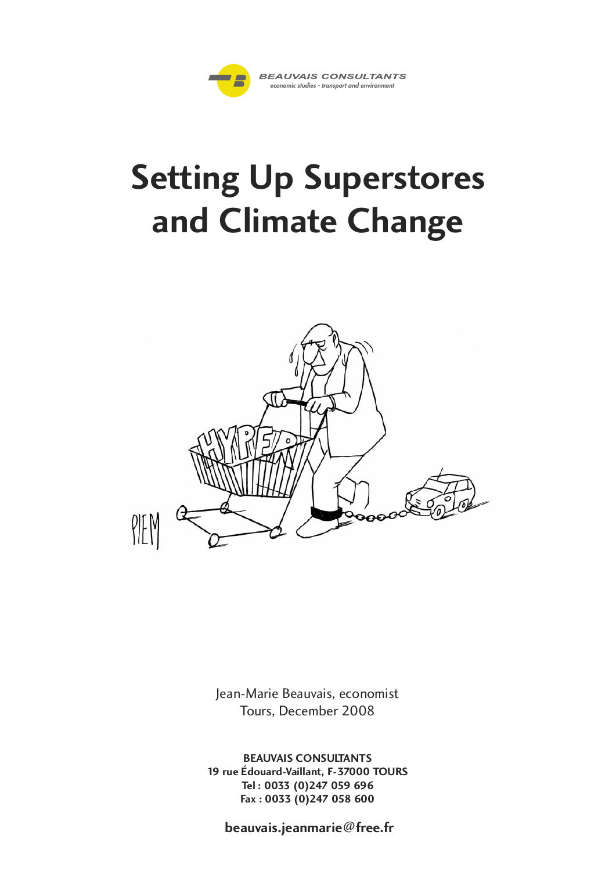

# **Setting Up Superstores and Climate Change**



Jean-Marie Beauvais, economist Tours, December 2008

**BEAUVAIS CONSULTANTS 19 rue Édouard-Vaillant, F-37000 TOURS Tel : 0033 (0)247 059 696 Fax : 0033 (0)247 058 600**

**beauvais.jeanmarie@free.fr**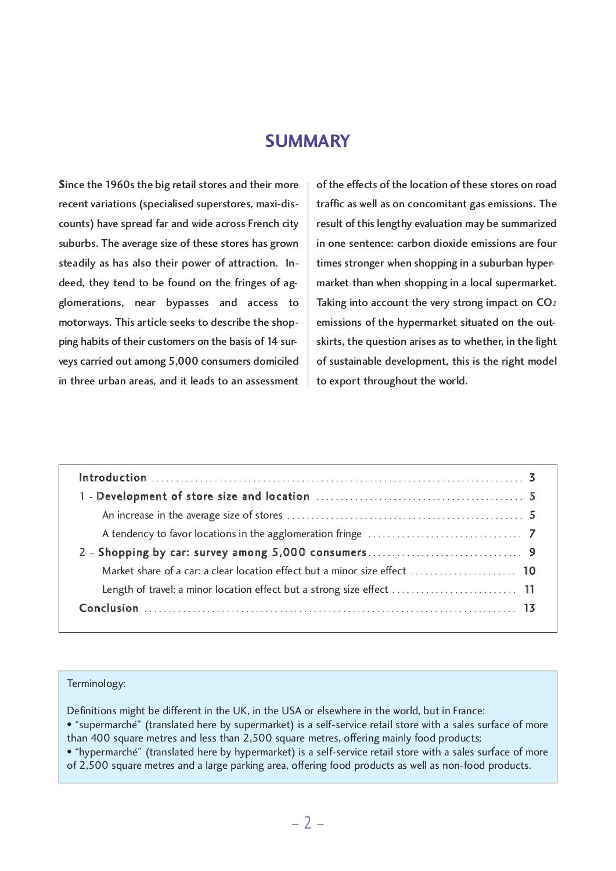## **SUMMARY**

Since the 1960s the big retail stores and their more recent variations (specialised superstores, maxi-discounts) have spread far and wide across French city suburbs. The average size of these stores has grown steadily as has also their power of attraction. Indeed, they tend to be found on the fringes of agglomerations, near bypasses and access to motorways. This article seeks to describe the shopping habits of their customers on the basis of 14 surveys carried out among 5,000 consumers domiciled in three urban areas, and it leads to an assessment of the effects of the location of these stores on road traffic as well as on concomitant gas emissions. The result of this lengthy evaluation may be summarized in one sentence: carbon dioxide emissions are four times stronger when shopping in a suburban hypermarket than when shopping in a local supermarket. Taking into account the very strong impact on CO<sub>2</sub> emissions of the hypermarket situated on the outskirts, the question arises as to whether, in the light of sustainable development, this is the right model to export throughout the world.

#### Terminology:

Definitions might be different in the UK, in the USA or elsewhere in the world, but in France: • "supermarché" (translated here by supermarket) is a self-service retail store with a sales surface of more than 400 square metres and less than 2,500 square metres, offering mainly food products; • "hypermarché" (translated here by hypermarket) is a self-service retail store with a sales surface of more

of 2,500 square metres and a large parking area, offering food products as well as non-food products.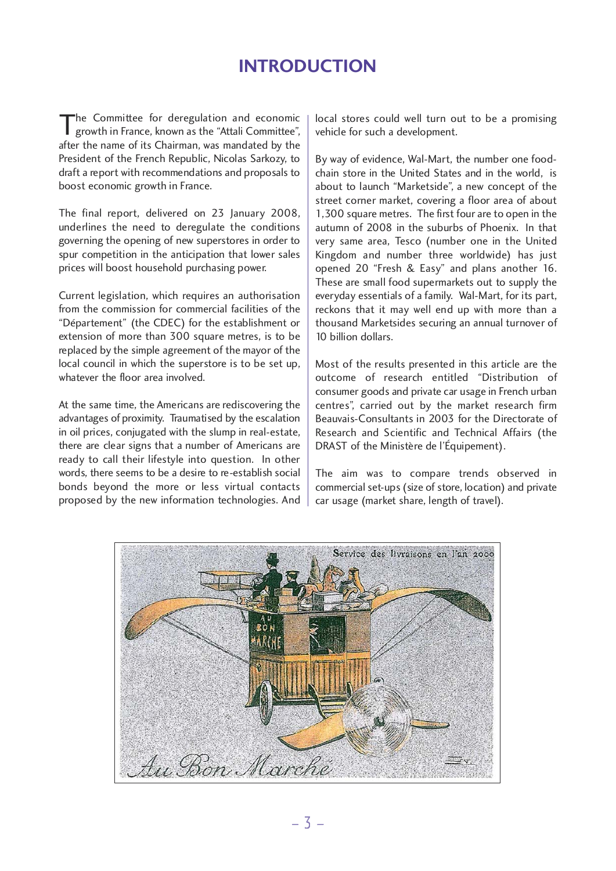# **INTRODUCTION**

The Committee for deregulation and economic growth in France, known as the "Attali Committee", after the name of its Chairman, was mandated by the President of the French Republic, Nicolas Sarkozy, to draft a report with recommendations and proposals to boost economic growth in France.

The final report, delivered on 23 January 2008, underlines the need to deregulate the conditions governing the opening of new superstores in order to spur competition in the anticipation that lower sales prices will boost household purchasing power.

Current legislation, which requires an authorisation from the commission for commercial facilities of the "Département" (the CDEC) for the establishment or extension of more than 300 square metres, is to be replaced by the simple agreement of the mayor of the local council in which the superstore is to be set up, whatever the floor area involved.

At the same time, the Americans are rediscovering the advantages of proximity. Traumatised by the escalation in oil prices, conjugated with the slump in real-estate, there are clear signs that a number of Americans are ready to call their lifestyle into question. In other words, there seems to be a desire to re-establish social bonds beyond the more or less virtual contacts proposed by the new information technologies. And

local stores could well turn out to be a promising vehicle for such a development.

By way of evidence, Wal-Mart, the number one foodchain store in the United States and in the world, is about to launch "Marketside", a new concept of the street corner market, covering a floor area of about 1,300 square metres. The first four are to open in the autumn of 2008 in the suburbs of Phoenix. In that very same area, Tesco (number one in the United Kingdom and number three worldwide) has just opened 20 "Fresh & Easy" and plans another 16. These are small food supermarkets out to supply the everyday essentials of a family. Wal-Mart, for its part, reckons that it may well end up with more than a thousand Marketsides securing an annual turnover of 10 billion dollars.

Most of the results presented in this article are the outcome of research entitled "Distribution of consumer goods and private car usage in French urban centres", carried out by the market research firm Beauvais-Consultants in 2003 for the Directorate of Research and Scientific and Technical Affairs (the DRAST of the Ministère de l'Équipement).

The aim was to compare trends observed in commercial set-ups (size of store, location) and private car usage (market share, length of travel).

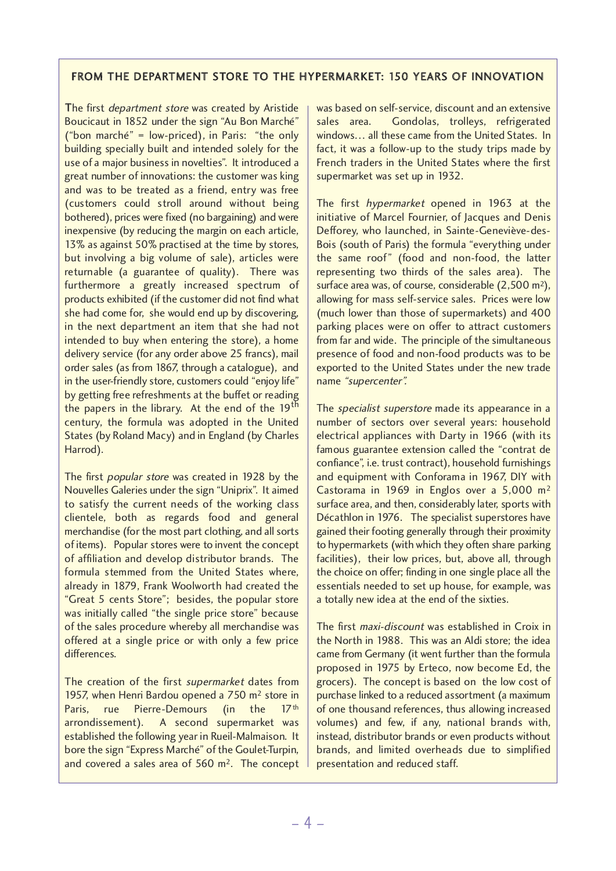## FROM THE DEPARTMENT STORE TO THE HYPERMARKET: 150 YEARS OF INNOVATION

The first *department store* was created by Aristide Boucicaut in 1852 under the sign "Au Bon Marché" ("bon marché" = low-priced), in Paris: "the only building specially built and intended solely for the use of a major business in novelties". It introduced a great number of innovations: the customer was king and was to be treated as a friend, entry was free (customers could stroll around without being bothered), prices were fixed (no bargaining) and were inexpensive (by reducing the margin on each article, 13% as against 50% practised at the time by stores, but involving a big volume of sale), articles were returnable (a guarantee of quality). There was furthermore a greatly increased spectrum of products exhibited (if the customer did not find what she had come for, she would end up by discovering, in the next department an item that she had not intended to buy when entering the store), a home delivery service (for any order above 25 francs), mail order sales (as from 1867, through a catalogue), and in the user-friendly store, customers could "enjoy life" by getting free refreshments at the buffet or reading the papers in the library. At the end of the  $19<sup>th</sup>$ century, the formula was adopted in the United States (by Roland Macy) and in England (by Charles Harrod).

The first popular store was created in 1928 by the Nouvelles Galeries under the sign "Uniprix". It aimed to satisfy the current needs of the working class clientele, both as regards food and general merchandise (for the most part clothing, and all sorts of items). Popular stores were to invent the concept of affiliation and develop distributor brands. The formula stemmed from the United States where, already in 1879, Frank Woolworth had created the "Great 5 cents Store"; besides, the popular store was initially called "the single price store" because of the sales procedure whereby all merchandise was offered at a single price or with only a few price differences.

The creation of the first supermarket dates from 1957, when Henri Bardou opened a 750 m2 store in Paris, rue Pierre-Demours (in the 17<sup>th</sup> arrondissement). A second supermarket was established the following year in Rueil-Malmaison. It bore the sign "Express Marché" of the Goulet-Turpin, and covered a sales area of 560 m2. The concept was based on self-service, discount and an extensive sales area. Gondolas, trolleys, refrigerated windows… all these came from the United States. In fact, it was a follow-up to the study trips made by French traders in the United States where the first supermarket was set up in 1932.

The first hypermarket opened in 1963 at the initiative of Marcel Fournier, of Jacques and Denis Defforey, who launched, in Sainte-Geneviève-des-Bois (south of Paris) the formula "everything under the same roof" (food and non-food, the latter representing two thirds of the sales area). The surface area was, of course, considerable (2,500 m<sup>2</sup>), allowing for mass self-service sales. Prices were low (much lower than those of supermarkets) and 400 parking places were on offer to attract customers from far and wide. The principle of the simultaneous presence of food and non-food products was to be exported to the United States under the new trade name "supercenter".

The *specialist superstore* made its appearance in a number of sectors over several years: household electrical appliances with Darty in 1966 (with its famous guarantee extension called the "contrat de confiance", i.e. trust contract), household furnishings and equipment with Conforama in 1967, DIY with Castorama in 1969 in Englos over a 5,000 m2 surface area, and then, considerably later, sports with Décathlon in 1976. The specialist superstores have gained their footing generally through their proximity to hypermarkets (with which they often share parking facilities), their low prices, but, above all, through the choice on offer; finding in one single place all the essentials needed to set up house, for example, was a totally new idea at the end of the sixties.

The first maxi-discount was established in Croix in the North in 1988. This was an Aldi store; the idea came from Germany (it went further than the formula proposed in 1975 by Erteco, now become Ed, the grocers). The concept is based on the low cost of purchase linked to a reduced assortment (a maximum of one thousand references, thus allowing increased volumes) and few, if any, national brands with, instead, distributor brands or even products without brands, and limited overheads due to simplified presentation and reduced staff.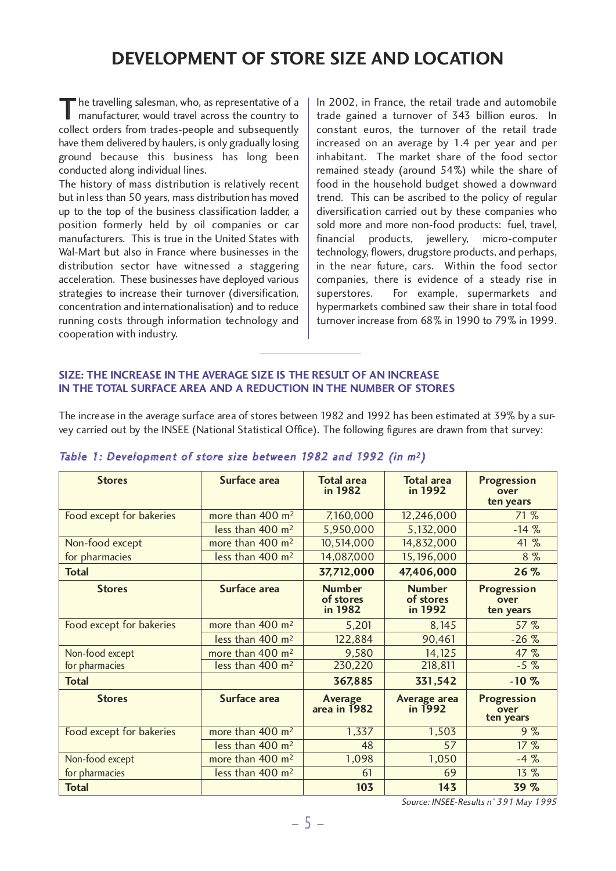# **DEVELOPMENT OF STORE SIZE AND LOCATION**

The travelling salesman, who, as representative of a manufacturer, would travel across the country to collect orders from trades-people and subsequently have them delivered by haulers, is only gradually losing ground because this business has long been conducted along individual lines.

The history of mass distribution is relatively recent but in less than 50 years, mass distribution has moved up to the top of the business classification ladder, a position formerly held by oil companies or car manufacturers. This is true in the United States with Wal-Mart but also in France where businesses in the distribution sector have witnessed a staggering acceleration. These businesses have deployed various strategies to increase their turnover (diversification, concentration and internationalisation) and to reduce running costs through information technology and cooperation with industry.

In 2002, in France, the retail trade and automobile trade gained a turnover of 343 billion euros. In constant euros, the turnover of the retail trade increased on an average by 1.4 per year and per inhabitant. The market share of the food sector remained steady (around 54%) while the share of food in the household budget showed a downward trend. This can be ascribed to the policy of regular diversification carried out by these companies who sold more and more non-food products: fuel, travel, financial products, jewellery, micro-computer technology, flowers, drugstore products, and perhaps, in the near future, cars. Within the food sector companies, there is evidence of a steady rise in superstores. For example, supermarkets and hypermarkets combined saw their share in total food turnover increase from 68% in 1990 to 79% in 1999.

#### **SIZE: THE INCREASE IN THE AVERAGE SIZE IS THE RESULT OF AN INCREASE IN THE TOTAL SURFACE AREA AND A REDUCTION IN THE NUMBER OF STORES**

The increase in the average surface area of stores between 1982 and 1992 has been estimated at 39% by a survey carried out by the INSEE (National Statistical Office). The following figures are drawn from that survey:

| <b>Stores</b>            | Surface area                 | <b>Total area</b><br>in 1982          | <b>Total area</b><br>in 1992          | <b>Progression</b><br>over<br>ten years |
|--------------------------|------------------------------|---------------------------------------|---------------------------------------|-----------------------------------------|
| Food except for bakeries | more than 400 m <sup>2</sup> | 7,160,000                             | 12,246,000                            | 71%                                     |
|                          | less than 400 m <sup>2</sup> | 5,950,000                             | 5,132,000                             | $-14%$                                  |
| Non-food except          | more than 400 m <sup>2</sup> | 10,514,000                            | 14,832,000                            | 41 %                                    |
| for pharmacies           | less than 400 m <sup>2</sup> | 14,087,000                            | 15,196,000                            | $8\%$                                   |
| <b>Total</b>             |                              | 37,712,000                            | 47,406,000                            | 26%                                     |
| <b>Stores</b>            | Surface area                 | <b>Number</b><br>of stores<br>in 1982 | <b>Number</b><br>of stores<br>in 1992 | <b>Progression</b><br>over<br>ten years |
| Food except for bakeries | more than 400 m <sup>2</sup> | 5,201                                 | 8,145                                 | 57 %                                    |
|                          | less than 400 m <sup>2</sup> | 122,884                               | 90,461                                | $-26%$                                  |
| Non-food except          | more than 400 m <sup>2</sup> | 9,580                                 | 14,125                                | 47 %                                    |
| for pharmacies           | less than 400 m <sup>2</sup> | 230,220                               | 218,811                               | $-5\%$                                  |
| <b>Total</b>             |                              | 367,885                               | 331,542                               | $-10%$                                  |
| <b>Stores</b>            | Surface area                 | Average<br>area in 1982               | Average area<br>in 1992               | <b>Progression</b><br>over<br>ten years |
| Food except for bakeries | more than 400 m <sup>2</sup> | 1,337                                 | 1,503                                 | 9%                                      |
|                          | less than 400 m <sup>2</sup> | 48                                    | 57                                    | 17%                                     |
| Non-food except          | more than 400 m <sup>2</sup> | 1,098                                 | 1,050                                 | $-4%$                                   |
| for pharmacies           | less than 400 m <sup>2</sup> | 61                                    | 69                                    | $13\%$                                  |
| <b>Total</b>             |                              | 103                                   | 143                                   | 39 %                                    |

## Table 1: Development of store size between 1982 and 1992 (in <sup>m</sup><sup>2</sup> )

Source: INSEE-Results <sup>n</sup>° 391 May 1995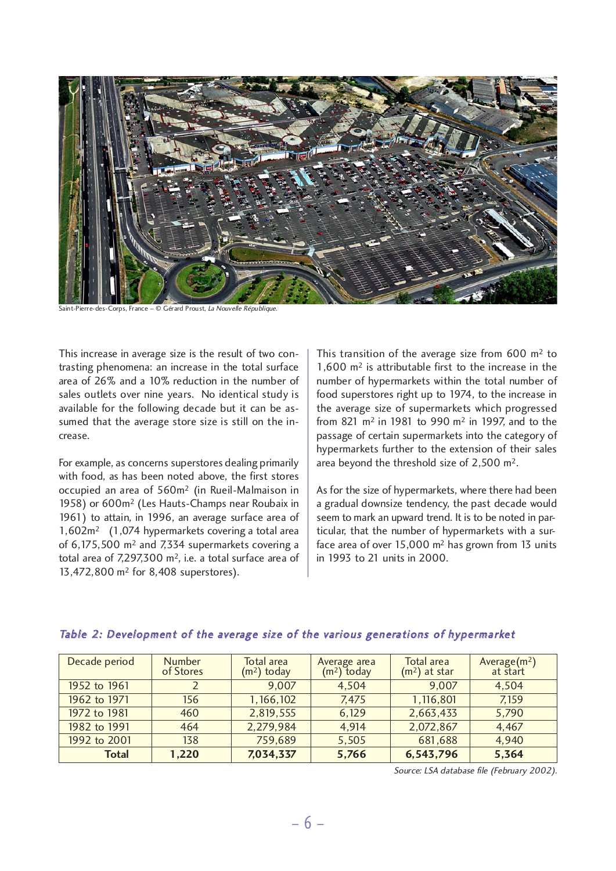

Saint-Pierre-des-Corps, France – © Gérard Proust, La Nouvelle République.

This increase in average size is the result of two contrasting phenomena: an increase in the total surface area of 26% and a 10% reduction in the number of sales outlets over nine years. No identical study is available for the following decade but it can be assumed that the average store size is still on the increase.

For example, as concerns superstores dealing primarily with food, as has been noted above, the first stores occupied an area of 560m2 (in Rueil-Malmaison in 1958) or 600m2 (Les Hauts-Champs near Roubaix in 1961) to attain, in 1996, an average surface area of 1,602m2 (1,074 hypermarkets covering a total area of 6,175,500 m2 and 7,334 supermarkets covering a total area of 7,297,300 m2, i.e. a total surface area of 13,472,800 m2 for 8,408 superstores).

This transition of the average size from  $600 \text{ m}^2$  to 1,600 m2 is attributable first to the increase in the number of hypermarkets within the total number of food superstores right up to 1974, to the increase in the average size of supermarkets which progressed from 821 m2 in 1981 to 990 m2 in 1997, and to the passage of certain supermarkets into the category of hypermarkets further to the extension of their sales area beyond the threshold size of 2,500 m2.

As for the size of hypermarkets, where there had been a gradual downsize tendency, the past decade would seem to mark an upward trend. It is to be noted in particular, that the number of hypermarkets with a surface area of over 15,000 m2 has grown from 13 units in 1993 to 21 units in 2000.

| Decade period | <b>Number</b><br>of Stores | Total area<br>$(m2)$ today | Average area<br>$(m2)$ today | <b>Total area</b><br>$(m2)$ at star | Average $(m^2)$ at start |
|---------------|----------------------------|----------------------------|------------------------------|-------------------------------------|--------------------------|
| 1952 to 1961  |                            | 9,007                      | 4,504                        | 9,007                               | 4,504                    |
| 1962 to 1971  | 156                        | 1,166,102                  | 7.475                        | 1,116,801                           | 7,159                    |
| 1972 to 1981  | 460                        | 2,819,555                  | 6,129                        | 2,663,433                           | 5,790                    |
| 1982 to 1991  | 464                        | 2,279,984                  | 4,914                        | 2,072,867                           | 4,467                    |
| 1992 to 2001  | 138                        | 759,689                    | 5,505                        | 681,688                             | 4,940                    |
| Total         | 1,220                      | 7,034,337                  | 5,766                        | 6,543,796                           | 5,364                    |

#### Table 2: Development of the average size of the various generations of hypermarket

Source: LSA database file (February 2002).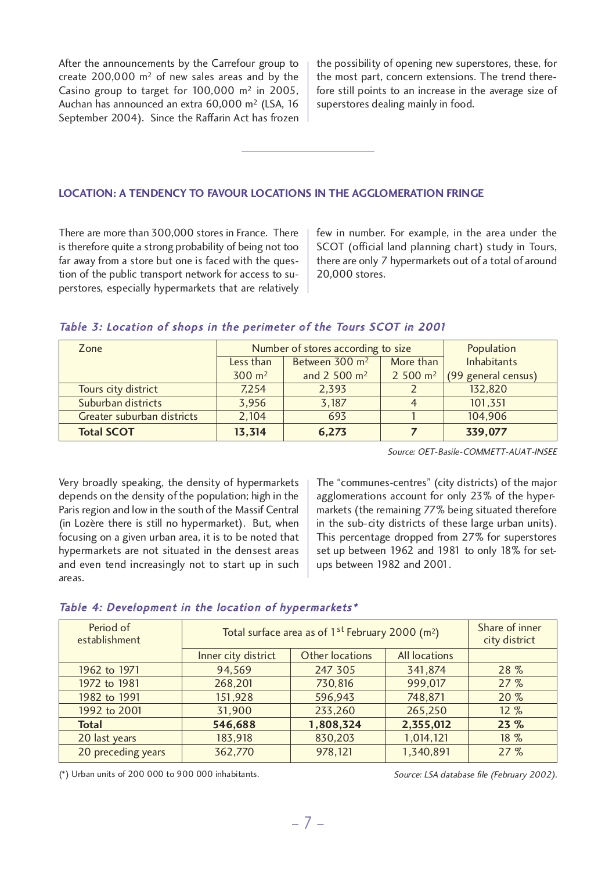After the announcements by the Carrefour group to create  $200,000$  m<sup>2</sup> of new sales areas and by the Casino group to target for  $100,000$  m<sup>2</sup> in 2005, Auchan has announced an extra 60,000 m2 (LSA, 16 September 2004). Since the Raffarin Act has frozen

the possibility of opening new superstores, these, for the most part, concern extensions. The trend therefore still points to an increase in the average size of superstores dealing mainly in food.

#### **LOCATION: A TENDENCY TO FAVOUR LOCATIONS IN THE AGGLOMERATION FRINGE**

There are more than 300,000 stores in France. There is therefore quite a strong probability of being not too far away from a store but one is faced with the question of the public transport network for access to superstores, especially hypermarkets that are relatively few in number. For example, in the area under the SCOT (official land planning chart) study in Tours, there are only 7 hypermarkets out of a total of around 20,000 stores.

#### Table 3: Location of shops in the perimeter of the Tours SCOT in 2001

| Zone                       |                                                      | Number of stores according to size | Population          |                     |
|----------------------------|------------------------------------------------------|------------------------------------|---------------------|---------------------|
|                            | Between 300 m <sup>2</sup><br>More than<br>Less than |                                    | <b>Inhabitants</b>  |                     |
|                            | $300 \text{ m}^2$                                    | and $2\,500 \, \text{m}^2$         | 2500 m <sup>2</sup> | (99 general census) |
| Tours city district        | 7,254                                                | 2,393                              |                     | 132,820             |
| Suburban districts         | 3,956                                                | 3,187                              |                     | 101,351             |
| Greater suburban districts | 2,104                                                | 693                                |                     | 104,906             |
| <b>Total SCOT</b>          | 13,314                                               | 6,273                              |                     | 339,077             |

Source: OET-Basile-COMMETT-AUAT-INSEE

Very broadly speaking, the density of hypermarkets depends on the density of the population; high in the Paris region and low in the south of the Massif Central (in Lozère there is still no hypermarket). But, when focusing on <sup>a</sup> given urban area, it is to be noted that hypermarkets are not situated in the densest areas and even tend increasingly not to start up in such areas.

The "communes-centres" (city districts) of the major agglomerations account for only 23% of the hypermarkets (the remaining 77% being situated therefore in the sub-city districts of these large urban units). This percentage dropped from 27% for superstores set up between 1962 and 1981 to only 18% for setups between 1982 and 2001.

#### Table 4: Development in the location of hypermarkets\*

| Period of<br>establishment | Total surface area as of $1^{st}$ February 2000 (m <sup>2</sup> ) | Share of inner<br>city district |                      |        |
|----------------------------|-------------------------------------------------------------------|---------------------------------|----------------------|--------|
|                            | Inner city district                                               | <b>Other locations</b>          | <b>All locations</b> |        |
| 1962 to 1971               | 94,569                                                            | 247 305                         | 341,874              | 28 %   |
| 1972 to 1981               | 268,201                                                           | 730,816                         | 999,017              | 27%    |
| 1982 to 1991               | 151,928                                                           | 596,943                         | 748,871              | 20%    |
| 1992 to 2001               | 31,900                                                            | 233,260                         | 265,250              | $12\%$ |
| <b>Total</b>               | 546,688                                                           | 1,808,324                       | 2,355,012            | 23%    |
| 20 last years              | 183,918                                                           | 830,203                         | 1,014,121            | 18 %   |
| 20 preceding years         | 362,770                                                           | 978,121                         | 1,340,891            | 27%    |

(\*) Urban units of 200 000 to 900 000 inhabitants.

Source: LSA database file (February 2002).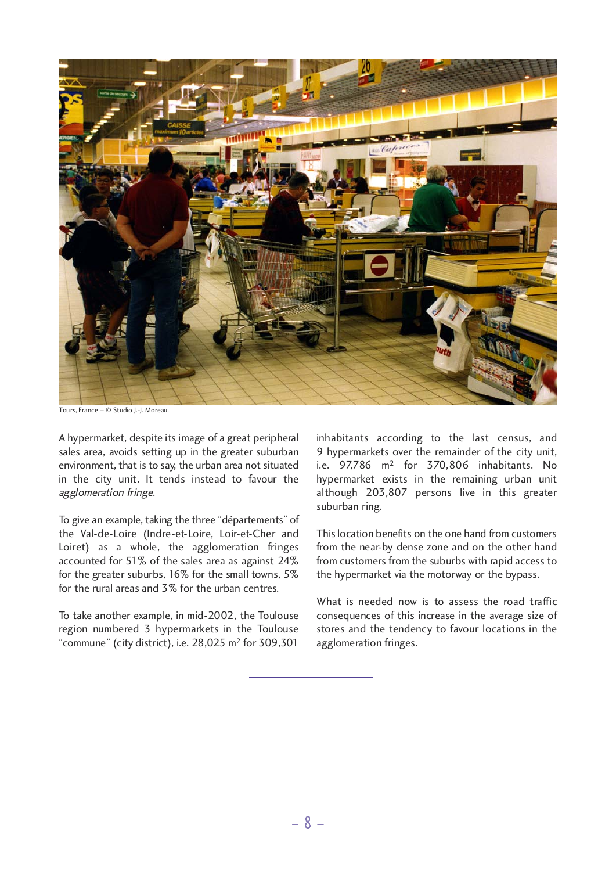

Tours, France – © Studio J.-J. Moreau.

A hypermarket, despite its image of a great peripheral sales area, avoids setting up in the greater suburban environment, that is to say, the urban area not situated in the city unit. It tends instead to favour the agglomeration fringe.

To give an example, taking the three "départements" of the Val-de-Loire (Indre-et-Loire, Loir-et-Cher and Loiret) as a whole, the agglomeration fringes accounted for 51% of the sales area as against 24% for the greater suburbs, 16% for the small towns, 5% for the rural areas and 3% for the urban centres.

To take another example, in mid-2002, the Toulouse region numbered 3 hypermarkets in the Toulouse "commune" (city district), i.e. 28,025 m2 for 309,301

inhabitants according to the last census, and 9 hypermarkets over the remainder of the city unit, i.e. 97,786 m2 for 370,806 inhabitants. No hypermarket exists in the remaining urban unit although 203,807 persons live in this greater suburban ring.

This location benefits on the one hand from customers from the near-by dense zone and on the other hand from customers from the suburbs with rapid access to the hypermarket via the motorway or the bypass.

What is needed now is to assess the road traffic consequences of this increase in the average size of stores and the tendency to favour locations in the agglomeration fringes.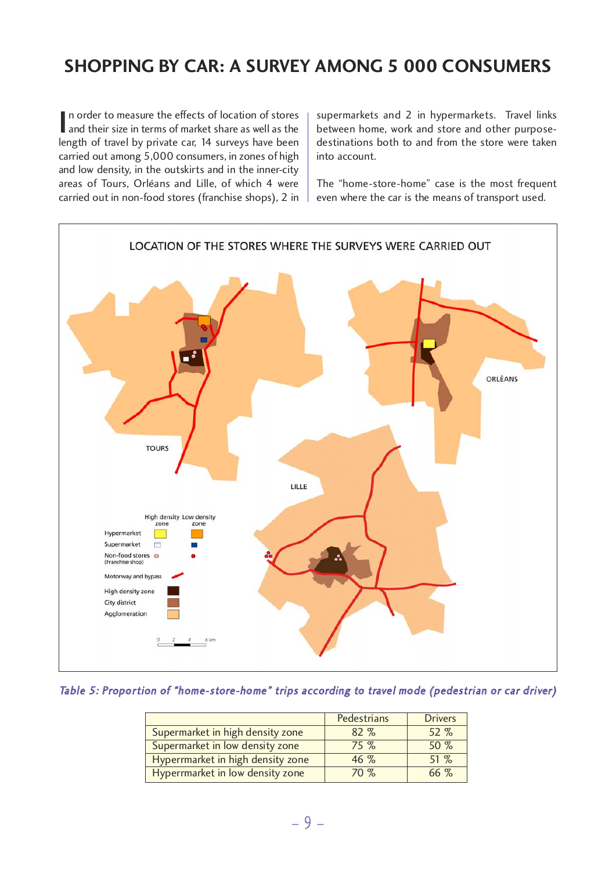# **SHOPPING BY CAR: A SURVEY AMONG 5 000 CONSUMERS**

In order to measure the effects of location of stores<br>and their size in terms of market share as well as the and their size in terms of market share as well as the length of travel by private car, 14 surveys have been carried out among 5,000 consumers, in zones of high and low density, in the outskirts and in the inner-city areas of Tours, Orléans and Lille, of which 4 were carried out in non-food stores (franchise shops), 2 in

supermarkets and 2 in hypermarkets. Travel links between home, work and store and other purposedestinations both to and from the store were taken into account.

The "home-store-home" case is the most frequent even where the car is the means of transport used.



#### Table 5: Proportion of "home-store-home" trips according to travel mode (pedestrian or car driver)

|                                   | <b>Pedestrians</b> | <b>Drivers</b> |
|-----------------------------------|--------------------|----------------|
| Supermarket in high density zone  | $82\%$             | 52 %           |
| Supermarket in low density zone   | 75%                | 50%            |
| Hyperrmarket in high density zone | $46\%$             | $51\%$         |
| Hyperrmarket in low density zone  | 70%                | $66\%$         |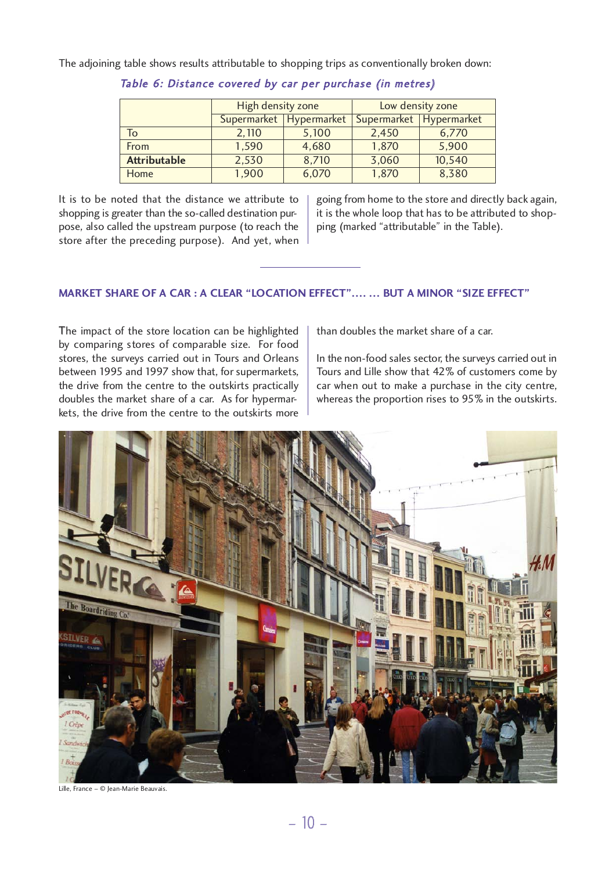The adjoining table shows results attributable to shopping trips as conventionally broken down:

|                     | High density zone<br>Supermarket Hypermarket |       | Low density zone        |        |  |
|---------------------|----------------------------------------------|-------|-------------------------|--------|--|
|                     |                                              |       | Supermarket Hypermarket |        |  |
| To                  | 2,110                                        | 5,100 | 2,450                   | 6,770  |  |
| From                | 1,590                                        | 4,680 | 1,870                   | 5,900  |  |
| <b>Attributable</b> | 2,530                                        | 8,710 | 3,060                   | 10,540 |  |
| Home                | 1,900                                        | 6,070 | 1,870                   | 8,380  |  |

Table 6: Distance covered by car per purchase (in metres)

It is to be noted that the distance we attribute to shopping is greater than the so-called destination purpose, also called the upstream purpose (to reach the store after the preceding purpose). And yet, when going from home to the store and directly back again, it is the whole loop that has to be attributed to shopping (marked "attributable" in the Table).

## **MARKET SHARE OF A CAR : A CLEAR "LOCATION EFFECT"…. … BUT A MINOR "SIZE EFFECT"**

The impact of the store location can be highlighted by comparing stores of comparable size. For food stores, the surveys carried out in Tours and Orleans between 1995 and 1997 show that, for supermarkets, the drive from the centre to the outskirts practically doubles the market share of a car. As for hypermarkets, the drive from the centre to the outskirts more

than doubles the market share of a car.

In the non-food sales sector, the surveys carried out in Tours and Lille show that 42% of customers come by car when out to make a purchase in the city centre, whereas the proportion rises to 95% in the outskirts.



Lille, France – © Jean-Marie Beauvais.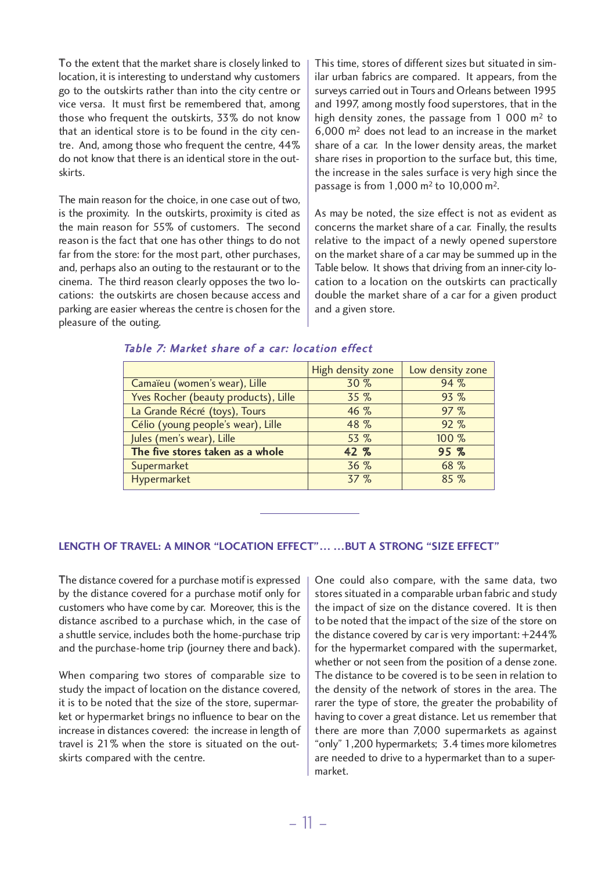To the extent that the market share is closely linked to location, it is interesting to understand why customers go to the outskirts rather than into the city centre or vice versa. It must first be remembered that, among those who frequent the outskirts, 33% do not know that an identical store is to be found in the city centre. And, among those who frequent the centre, 44% do not know that there is an identical store in the outskirts.

The main reason for the choice, in one case out of two, is the proximity. In the outskirts, proximity is cited as the main reason for 55% of customers. The second reason is the fact that one has other things to do not far from the store: for the most part, other purchases, and, perhaps also an outing to the restaurant or to the cinema. The third reason clearly opposes the two locations: the outskirts are chosen because access and parking are easier whereas the centre is chosen for the pleasure of the outing.

This time, stores of different sizes but situated in similar urban fabrics are compared. It appears, from the surveys carried out in Tours and Orleans between 1995 and 1997, among mostly food superstores, that in the high density zones, the passage from  $1000 \text{ m}^2$  to 6,000 m2 does not lead to an increase in the market share of a car. In the lower density areas, the market share rises in proportion to the surface but, this time, the increase in the sales surface is very high since the passage is from 1,000 m2 to 10,000 m2.

As may be noted, the size effect is not as evident as concerns the market share of a car. Finally, the results relative to the impact of a newly opened superstore on the market share of a car may be summed up in the Table below. It shows that driving from an inner-city location to a location on the outskirts can practically double the market share of a car for a given product and a given store.

|                                      | High density zone | Low density zone |
|--------------------------------------|-------------------|------------------|
| Camaïeu (women's wear), Lille        | 30 %              | 94 %             |
| Yves Rocher (beauty products), Lille | 35 %              | 93%              |
| La Grande Récré (toys), Tours        | 46 %              | 97%              |
| Célio (young people's wear), Lille   | 48 %              | 92%              |
| Jules (men's wear), Lille            | 53 %              | 100 %            |
| The five stores taken as a whole     | 42 %              | 95%              |
| Supermarket                          | 36 %              | 68 %             |
| Hypermarket                          | 37%               | 85%              |

#### Table 7: Market share of <sup>a</sup> car: location effect

#### **LENGTH OF TRAVEL: A MINOR "LOCATION EFFECT"… …BUT A STRONG "SIZE EFFECT"**

The distance covered for a purchase motif is expressed by the distance covered for a purchase motif only for customers who have come by car. Moreover, this is the distance ascribed to a purchase which, in the case of a shuttle service, includes both the home-purchase trip and the purchase-home trip (journey there and back).

When comparing two stores of comparable size to study the impact of location on the distance covered, it is to be noted that the size of the store, supermarket or hypermarket brings no influence to bear on the increase in distances covered: the increase in length of travel is 21% when the store is situated on the outskirts compared with the centre.

One could also compare, with the same data, two stores situated in a comparable urban fabric and study the impact of size on the distance covered. It is then to be noted that the impact of the size of the store on the distance covered by car is very important: +244% for the hypermarket compared with the supermarket, whether or not seen from the position of a dense zone. The distance to be covered is to be seen in relation to the density of the network of stores in the area. The rarer the type of store, the greater the probability of having to cover a great distance. Let us remember that there are more than 7,000 supermarkets as against "only" 1,200 hypermarkets; 3.4 times more kilometres are needed to drive to a hypermarket than to a supermarket.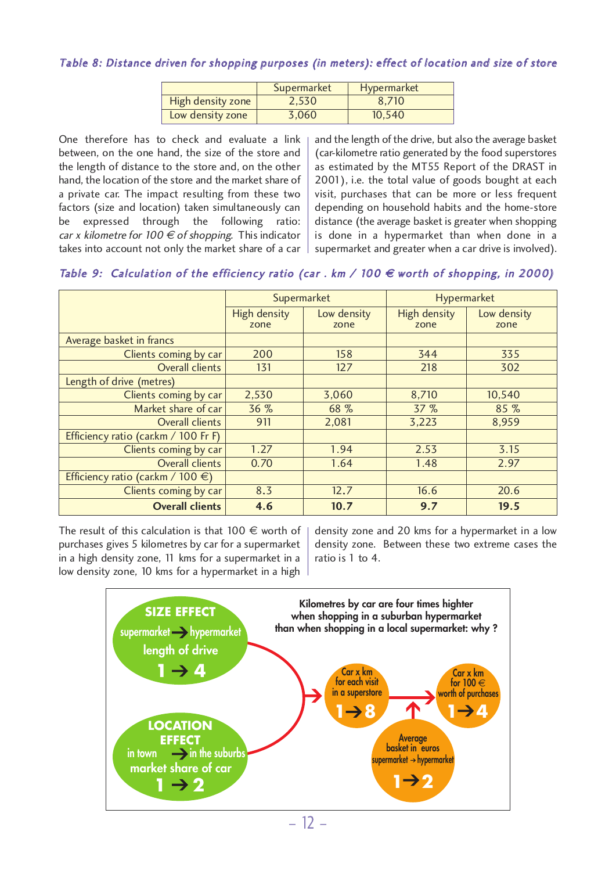#### Table 8: Distance driven for shopping purposes (in meters): effect of location and size of store

|                   | Supermarket | Hypermarket |
|-------------------|-------------|-------------|
| High density zone | 2.530       | 8.710       |
| Low density zone  | 3,060       | 10.540      |

One therefore has to check and evaluate <sup>a</sup> link between, on the one hand, the size of the store and the length of distance to the store and, on the other hand, the location of the store and the market share of <sup>a</sup> private car. The impact resulting from these two factors (size and location) taken simultaneously can be expressed through the following ratio: car x kilometre for 100  $\in$  of shopping. This indicator takes into account not only the market share of <sup>a</sup> car

and the length of the drive, but also the average basket (car-kilometre ratio generated by the food superstores as estimated by the MT55 Report of the DRAST in 2001), i.e. the total value of goods bought at each visit, purchases that can be more or less frequent depending on household habits and the home-store distance (the average basket is greater when shopping is done in <sup>a</sup> hypermarket than when done in <sup>a</sup> supermarket and greater when <sup>a</sup> car drive is involved).

Table 9: Calculation of the efficiency ratio (car. km / 100  $\epsilon$  worth of shopping, in 2000)

|                                             | Supermarket                 |                     | Hypermarket                 |                     |
|---------------------------------------------|-----------------------------|---------------------|-----------------------------|---------------------|
|                                             | <b>High density</b><br>zone | Low density<br>zone | <b>High density</b><br>zone | Low density<br>zone |
| Average basket in francs                    |                             |                     |                             |                     |
| Clients coming by car                       | 200                         | 158                 | 344                         | 335                 |
| Overall clients                             | 131                         | 127                 | 218                         | 302                 |
| Length of drive (metres)                    |                             |                     |                             |                     |
| Clients coming by car                       | 2,530                       | 3,060               | 8,710                       | 10,540              |
| Market share of car                         | 36 %                        | 68 %                | 37%                         | 85 %                |
| Overall clients                             | 911                         | 2,081               | 3,223                       | 8,959               |
| Efficiency ratio (car.km / $100$ Fr F)      |                             |                     |                             |                     |
| Clients coming by car                       | 1.27                        | 1.94                | 2.53                        | 3.15                |
| Overall clients                             | 0.70                        | 1.64                | 1.48                        | 2.97                |
| Efficiency ratio (car.km / 100 $\epsilon$ ) |                             |                     |                             |                     |
| Clients coming by car                       | 8.3                         | 12.7                | 16.6                        | 20.6                |
| <b>Overall clients</b>                      | 4.6                         | 10.7                | 9.7                         | 19.5                |

The result of this calculation is that 100  $\epsilon$  worth of purchases gives 5 kilometres by car for a supermarket in a high density zone, 11 kms for a supermarket in a low density zone, 10 kms for a hypermarket in a high

density zone and 20 kms for a hypermarket in a low density zone. Between these two extreme cases the ratio is 1 to 4.

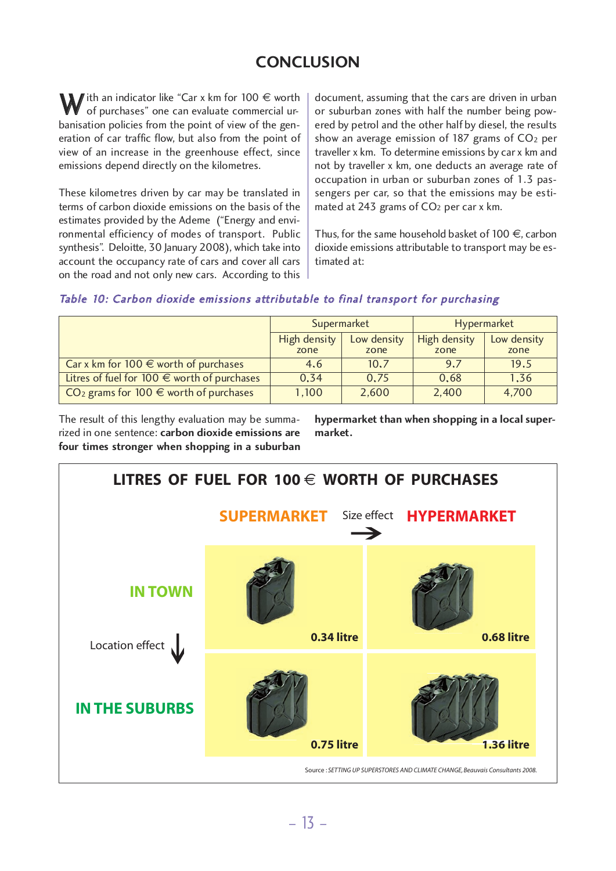# **CONCLUSION**

 $\mathbf{W}$  ith an indicator like "Car x km for 100  $\in$  worth<br>of purchases" one can evaluate commercial urbanisation policies from the point of view of the generation of car traffic flow, but also from the point of view of an increase in the greenhouse effect, since emissions depend directly on the kilometres.

These kilometres driven by car may be translated in terms of carbon dioxide emissions on the basis of the estimates provided by the Ademe ("Energy and environmental efficiency of modes of transport. Public synthesis". Deloitte, 30 January 2008), which take into account the occupancy rate of cars and cover all cars on the road and not only new cars. According to this

document, assuming that the cars are driven in urban or suburban zones with half the number being powered by petrol and the other half by diesel, the results show an average emission of  $187$  grams of  $CO<sub>2</sub>$  per traveller x km. To determine emissions by car x km and not by traveller x km, one deducts an average rate of occupation in urban or suburban zones of 1.3 passengers per car, so that the emissions may be estimated at 243 grams of CO<sub>2</sub> per car x km.

Thus, for the same household basket of  $100 \in \mathcal{C}$ , carbon dioxide emissions attributable to transport may be estimated at:

## Table 10: Carbon dioxide emissions attributable to final transport for purchasing

|                                                        | Supermarket<br>High density<br>Low density<br>zone<br>zone |       | Hypermarket          |                     |
|--------------------------------------------------------|------------------------------------------------------------|-------|----------------------|---------------------|
|                                                        |                                                            |       | High density<br>zone | Low density<br>zone |
| Car x km for $100 \in$ worth of purchases              | 4.6                                                        | 10.7  | 9.7                  | 19.5                |
| Litres of fuel for $100 \in \text{worth of purchases}$ | 0.34                                                       | 0.75  | 0.68                 | 1.36                |
| CO <sub>2</sub> grams for 100 $\in$ worth of purchases | 1,100                                                      | 2,600 | 2,400                | 4,700               |

The result of this lengthy evaluation may be summarized in one sentence: **carbon dioxide emissions are four times stronger when shopping in a suburban** **hypermarket than when shopping in a local supermarket.**